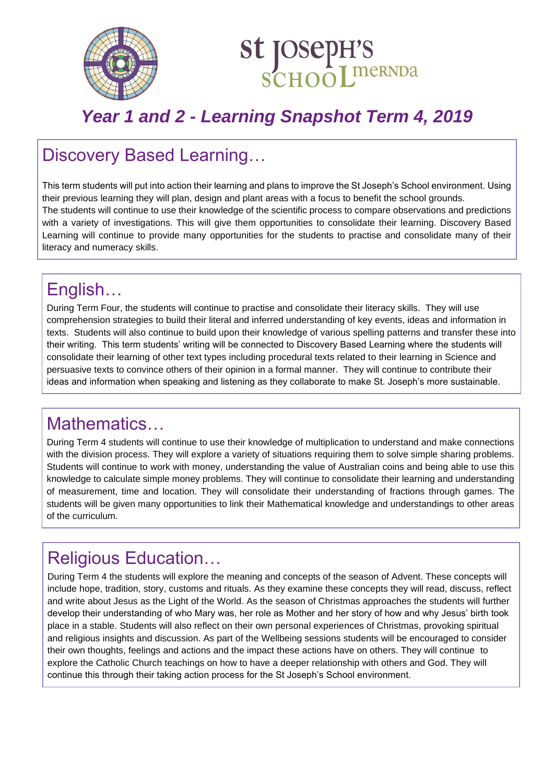



# *Year 1 and 2 - Learning Snapshot Term 4, 2019*

#### Discovery Based Learning…

This term students will put into action their learning and plans to improve the St Joseph's School environment. Using their previous learning they will plan, design and plant areas with a focus to benefit the school grounds. The students will continue to use their knowledge of the scientific process to compare observations and predictions with a variety of investigations. This will give them opportunities to consolidate their learning. Discovery Based Learning will continue to provide many opportunities for the students to practise and consolidate many of their literacy and numeracy skills.

## English…

During Term Four, the students will continue to practise and consolidate their literacy skills. They will use comprehension strategies to build their literal and inferred understanding of key events, ideas and information in texts. Students will also continue to build upon their knowledge of various spelling patterns and transfer these into their writing. This term students' writing will be connected to Discovery Based Learning where the students will consolidate their learning of other text types including procedural texts related to their learning in Science and persuasive texts to convince others of their opinion in a formal manner. They will continue to contribute their ideas and information when speaking and listening as they collaborate to make St. Joseph's more sustainable.

## Mathematics…

During Term 4 students will continue to use their knowledge of multiplication to understand and make connections with the division process. They will explore a variety of situations requiring them to solve simple sharing problems. Students will continue to work with money, understanding the value of Australian coins and being able to use this knowledge to calculate simple money problems. They will continue to consolidate their learning and understanding of measurement, time and location. They will consolidate their understanding of fractions through games. The students will be given many opportunities to link their Mathematical knowledge and understandings to other areas of the curriculum.

## Religious Education…

During Term 4 the students will explore the meaning and concepts of the season of Advent. These concepts will include hope, tradition, story, customs and rituals. As they examine these concepts they will read, discuss, reflect and write about Jesus as the Light of the World. As the season of Christmas approaches the students will further develop their understanding of who Mary was, her role as Mother and her story of how and why Jesus' birth took place in a stable. Students will also reflect on their own personal experiences of Christmas, provoking spiritual and religious insights and discussion. As part of the Wellbeing sessions students will be encouraged to consider their own thoughts, feelings and actions and the impact these actions have on others. They will continue to explore the Catholic Church teachings on how to have a deeper relationship with others and God. They will continue this through their taking action process for the St Joseph's School environment.